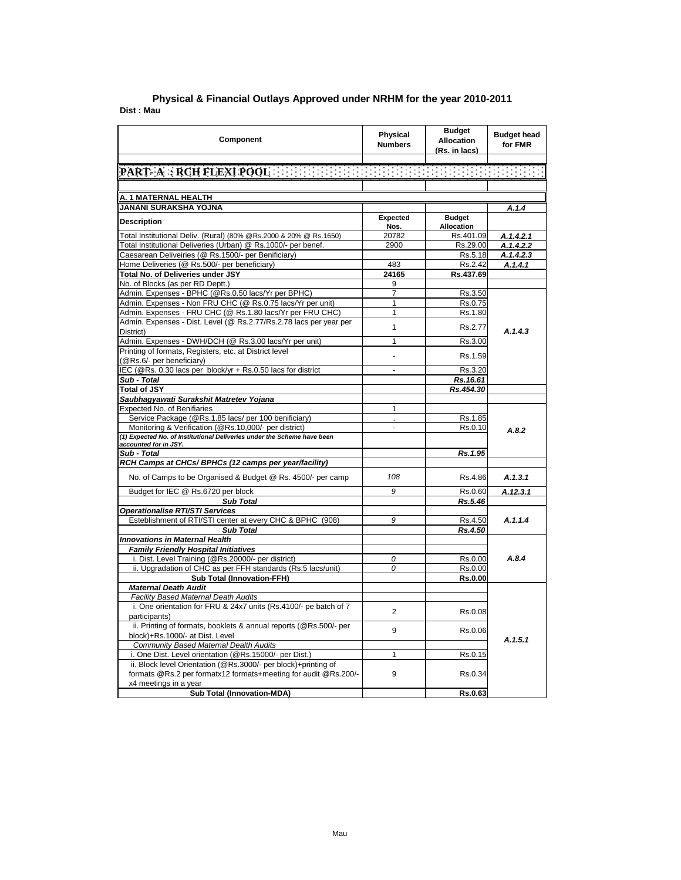| Component                                                                                                        | <b>Physical</b><br><b>Numbers</b> | <b>Budget</b><br><b>Allocation</b><br>(Rs. in lacs) | <b>Budget head</b><br>for FMR |
|------------------------------------------------------------------------------------------------------------------|-----------------------------------|-----------------------------------------------------|-------------------------------|
|                                                                                                                  |                                   |                                                     |                               |
| PART A : RCH FLEXI POOL AND RESERVED BENEFIT FOR FREE REPORT                                                     |                                   |                                                     |                               |
|                                                                                                                  |                                   |                                                     |                               |
| A. 1 MATERNAL HEALTH                                                                                             |                                   |                                                     |                               |
| <b>JANANI SURAKSHA YOJNA</b>                                                                                     |                                   |                                                     | A.1.4                         |
| <b>Description</b>                                                                                               | Expected                          | <b>Budget</b>                                       |                               |
|                                                                                                                  | Nos.                              | <b>Allocation</b>                                   |                               |
| Total Institutional Deliv. (Rural) (80% @Rs.2000 & 20% @ Rs.1650)                                                | 20782                             | Rs.401.09                                           | A.1.4.2.1                     |
| Total Institutional Deliveries (Urban) @ Rs.1000/- per benef.                                                    | 2900                              | Rs.29.00                                            | A.1.4.2.2                     |
| Caesarean Deliveiries (@ Rs.1500/- per Benificiary)                                                              |                                   | Rs.5.18                                             | A.1.4.2.3                     |
| Home Deliveries (@ Rs.500/- per beneficiary)<br>Total No. of Deliveries under JSY                                | 483<br>24165                      | Rs.2.42                                             | A.1.4.1                       |
| No. of Blocks (as per RD Deptt.)                                                                                 |                                   | Rs.437.69                                           |                               |
|                                                                                                                  | 9<br>$\overline{7}$               |                                                     |                               |
| Admin. Expenses - BPHC (@Rs.0.50 lacs/Yr per BPHC)<br>Admin. Expenses - Non FRU CHC (@ Rs.0.75 lacs/Yr per unit) | $\mathbf{1}$                      | Rs.3.50<br>Rs.0.75                                  |                               |
| Admin. Expenses - FRU CHC (@ Rs.1.80 lacs/Yr per FRU CHC)                                                        | $\mathbf{1}$                      | Rs.1.80                                             |                               |
| Admin. Expenses - Dist. Level (@ Rs.2.77/Rs.2.78 lacs per year per                                               |                                   |                                                     |                               |
| District)                                                                                                        | $\mathbf{1}$                      | Rs.2.77                                             | A.1.4.3                       |
| Admin. Expenses - DWH/DCH (@ Rs.3.00 lacs/Yr per unit)                                                           | $\mathbf{1}$                      | Rs.3.00                                             |                               |
| Printing of formats, Registers, etc. at District level                                                           | ÷,                                | Rs.1.59                                             |                               |
| (@Rs.6/- per beneficiary)<br>IEC (@Rs. 0.30 lacs per block/yr + Rs.0.50 lacs for district                        | $\overline{a}$                    |                                                     |                               |
| Sub - Total                                                                                                      |                                   | Rs.3.20<br>Rs.16.61                                 |                               |
| <b>Total of JSY</b>                                                                                              |                                   | Rs.454.30                                           |                               |
| Saubhagyawati Surakshit Matretev Yojana                                                                          |                                   |                                                     |                               |
| Expected No. of Benifiaries                                                                                      | 1                                 |                                                     |                               |
| Service Package (@Rs.1.85 lacs/ per 100 benificiary)                                                             |                                   | Rs.1.85                                             |                               |
| Monitoring & Verification (@Rs.10,000/- per district)                                                            | $\overline{a}$                    | Rs.0.10                                             |                               |
| (1) Expected No. of Institutional Deliveries under the Scheme have been                                          |                                   |                                                     | A.8.2                         |
| accounted for in JSY.                                                                                            |                                   |                                                     |                               |
| Sub - Total                                                                                                      |                                   | Rs.1.95                                             |                               |
| RCH Camps at CHCs/ BPHCs (12 camps per year/facility)                                                            |                                   |                                                     |                               |
| No. of Camps to be Organised & Budget @ Rs. 4500/- per camp                                                      | 108                               | Rs.4.86                                             | A.1.3.1                       |
| Budget for IEC @ Rs.6720 per block                                                                               | 9                                 | Rs.0.60                                             | A.12.3.1                      |
| <b>Sub Total</b>                                                                                                 |                                   | Rs.5.46                                             |                               |
| <b>Operationalise RTI/STI Services</b>                                                                           |                                   |                                                     |                               |
| Esteblishment of RTI/STI center at every CHC & BPHC (908)                                                        | 9                                 | Rs.4.50                                             | A.1.1.4                       |
| <b>Sub Total</b>                                                                                                 |                                   | Rs.4.50                                             |                               |
| <b>Innovations in Maternal Health</b>                                                                            |                                   |                                                     |                               |
| <b>Family Friendly Hospital Initiatives</b>                                                                      |                                   |                                                     |                               |
| i. Dist. Level Training (@Rs.20000/- per district)                                                               | 0                                 | Rs.0.00                                             | A.8.4                         |
| ii. Upgradation of CHC as per FFH standards (Rs.5 lacs/unit)                                                     | 0                                 | Rs.0.00                                             |                               |
| <b>Sub Total (Innovation-FFH)</b>                                                                                |                                   | Rs.0.00                                             |                               |
| <b>Maternal Death Audit</b>                                                                                      |                                   |                                                     |                               |
| Facility Based Maternal Death Audits                                                                             |                                   |                                                     |                               |
| i. One orientation for FRU & 24x7 units (Rs.4100/- pe batch of 7                                                 | $\overline{2}$                    | Rs.0.08                                             |                               |
| participants)                                                                                                    |                                   |                                                     |                               |
| ii. Printing of formats, booklets & annual reports (@Rs.500/- per                                                | 9                                 | Rs.0.06                                             |                               |
| block)+Rs.1000/- at Dist. Level                                                                                  |                                   |                                                     | A.1.5.1                       |
| <b>Community Based Maternal Dealth Audits</b>                                                                    |                                   |                                                     |                               |
| i. One Dist. Level orientation (@Rs.15000/- per Dist.)                                                           | 1                                 | Rs.0.15                                             |                               |
| ii. Block level Orientation (@Rs.3000/- per block)+printing of                                                   | 9                                 |                                                     |                               |
| formats @Rs.2 per formatx12 formats+meeting for audit @Rs.200/-<br>x4 meetings in a year                         |                                   | Rs.0.34                                             |                               |
| <b>Sub Total (Innovation-MDA)</b>                                                                                |                                   | Rs.0.63                                             |                               |
|                                                                                                                  |                                   |                                                     |                               |

## **Dist : Mau Physical & Financial Outlays Approved under NRHM for the year 2010-2011**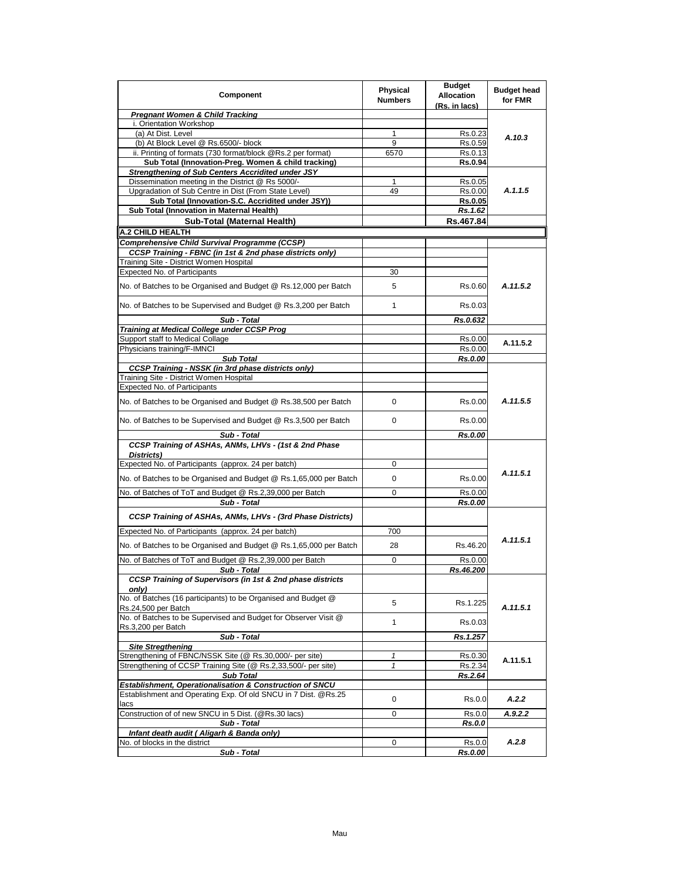| Component                                                                            | <b>Physical</b><br><b>Numbers</b> | <b>Budget</b><br><b>Allocation</b> | <b>Budget head</b><br>for FMR |
|--------------------------------------------------------------------------------------|-----------------------------------|------------------------------------|-------------------------------|
| <b>Pregnant Women &amp; Child Tracking</b>                                           |                                   | (Rs. in lacs)                      |                               |
| i. Orientation Workshop                                                              |                                   |                                    |                               |
| (a) At Dist. Level                                                                   | 1                                 | Rs.0.23                            |                               |
| (b) At Block Level @ Rs.6500/- block                                                 | 9                                 | Rs.0.59                            | A.10.3                        |
| ii. Printing of formats (730 format/block @Rs.2 per format)                          | 6570                              | Rs.0.13                            |                               |
| Sub Total (Innovation-Preg. Women & child tracking)                                  |                                   | Rs.0.94                            |                               |
| <b>Strengthening of Sub Centers Accridited under JSY</b>                             |                                   |                                    |                               |
| Dissemination meeting in the District @ Rs 5000/-                                    | 1                                 | Rs.0.05                            |                               |
| Upgradation of Sub Centre in Dist (From State Level)                                 | 49                                | Rs.0.00                            | A.1.1.5                       |
| Sub Total (Innovation-S.C. Accridited under JSY))                                    |                                   | Rs.0.05                            |                               |
| Sub Total (Innovation in Maternal Health)                                            |                                   | Rs.1.62                            |                               |
| Sub-Total (Maternal Health)                                                          |                                   | Rs.467.84                          |                               |
| A.2 CHILD HEALTH                                                                     |                                   |                                    |                               |
| <b>Comprehensive Child Survival Programme (CCSP)</b>                                 |                                   |                                    |                               |
| CCSP Training - FBNC (in 1st & 2nd phase districts only)                             |                                   |                                    |                               |
| Training Site - District Women Hospital                                              |                                   |                                    |                               |
| Expected No. of Participants                                                         | 30                                |                                    |                               |
| No. of Batches to be Organised and Budget @ Rs.12,000 per Batch                      | 5                                 | Rs.0.60                            | A.11.5.2                      |
| No. of Batches to be Supervised and Budget @ Rs.3,200 per Batch                      | $\mathbf{1}$                      | Rs.0.03                            |                               |
| Sub - Total                                                                          |                                   | Rs.0.632                           |                               |
| Training at Medical College under CCSP Prog                                          |                                   |                                    |                               |
| Support staff to Medical Collage                                                     |                                   | Rs.0.00                            | A.11.5.2                      |
| Physicians training/F-IMNCI                                                          |                                   | Rs.0.00                            |                               |
| <b>Sub Total</b><br><b>CCSP Training - NSSK (in 3rd phase districts only)</b>        |                                   | Rs.0.00                            |                               |
| Training Site - District Women Hospital                                              |                                   |                                    |                               |
| Expected No. of Participants                                                         |                                   |                                    |                               |
|                                                                                      |                                   |                                    |                               |
| No. of Batches to be Organised and Budget @ Rs.38,500 per Batch                      | 0                                 | Rs.0.00                            | A.11.5.5                      |
| No. of Batches to be Supervised and Budget @ Rs.3,500 per Batch                      | 0                                 | Rs.0.00                            |                               |
| Sub - Total<br>CCSP Training of ASHAs, ANMs, LHVs - (1st & 2nd Phase                 |                                   | <b>Rs.0.00</b>                     |                               |
| Districts)                                                                           |                                   |                                    |                               |
| Expected No. of Participants (approx. 24 per batch)                                  | 0                                 |                                    |                               |
|                                                                                      |                                   |                                    | A.11.5.1                      |
| No. of Batches to be Organised and Budget @ Rs.1,65,000 per Batch                    | 0                                 | Rs.0.00                            |                               |
| No. of Batches of ToT and Budget @ Rs.2,39,000 per Batch                             | 0                                 | Rs.0.00                            |                               |
| Sub - Total                                                                          |                                   | Rs.0.00                            |                               |
| CCSP Training of ASHAs, ANMs, LHVs - (3rd Phase Districts)                           |                                   |                                    |                               |
| Expected No. of Participants (approx. 24 per batch)                                  | 700                               |                                    |                               |
| No. of Batches to be Organised and Budget @ Rs.1,65,000 per Batch                    | 28                                | Rs.46.20                           | A.11.5.1                      |
| No. of Batches of ToT and Budget @ Rs.2,39,000 per Batch                             | 0                                 | Rs.0.00                            |                               |
| Sub - Total                                                                          |                                   | Rs.46.200                          |                               |
| CCSP Training of Supervisors (in 1st & 2nd phase districts<br>onlv)                  |                                   |                                    |                               |
| No. of Batches (16 participants) to be Organised and Budget @<br>Rs.24,500 per Batch | 5                                 | Rs.1.225                           | A.11.5.1                      |
| No. of Batches to be Supervised and Budget for Observer Visit @                      | 1                                 | Rs.0.03                            |                               |
| Rs.3,200 per Batch<br>Sub - Total                                                    |                                   | Rs.1.257                           |                               |
| <b>Site Stregthening</b>                                                             |                                   |                                    |                               |
| Strengthening of FBNC/NSSK Site (@ Rs.30,000/- per site)                             | 1                                 | Rs.0.30                            |                               |
| Strengthening of CCSP Training Site (@ Rs.2,33,500/- per site)                       | $\mathbf{1}$                      | Rs.2.34                            | A.11.5.1                      |
| <b>Sub Total</b>                                                                     |                                   | Rs.2.64                            |                               |
| Establishment, Operationalisation & Construction of SNCU                             |                                   |                                    |                               |
| Establishment and Operating Exp. Of old SNCU in 7 Dist. @Rs.25<br>lacs               | 0                                 | Rs.0.0                             | A.2.2                         |
| Construction of of new SNCU in 5 Dist. (@Rs.30 lacs)                                 | 0                                 | Rs.0.0                             | A.9.2.2                       |
| Sub - Total                                                                          |                                   | <b>Rs.0.0</b>                      |                               |
| Infant death audit (Aligarh & Banda only)                                            |                                   |                                    |                               |
| No. of blocks in the district                                                        | 0                                 | Rs.0.0                             | A.2.8                         |
| Sub - Total                                                                          |                                   | Rs.0.00                            |                               |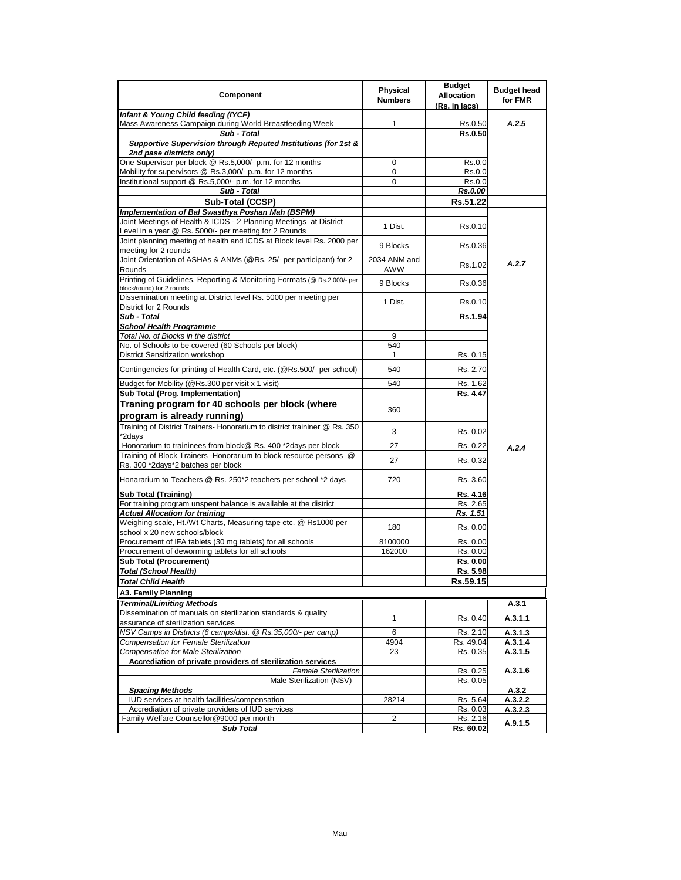| Component                                                                                                             | Physical<br><b>Numbers</b> | <b>Budget</b><br><b>Allocation</b><br>(Rs. in lacs) | <b>Budget head</b><br>for FMR |
|-----------------------------------------------------------------------------------------------------------------------|----------------------------|-----------------------------------------------------|-------------------------------|
| Infant & Young Child feeding (IYCF)                                                                                   |                            |                                                     |                               |
| Mass Awareness Campaign during World Breastfeeding Week                                                               | 1                          | Rs.0.50                                             | A.2.5                         |
| Sub - Total                                                                                                           |                            | <b>Rs.0.50</b>                                      |                               |
| Supportive Supervision through Reputed Institutions (for 1st &                                                        |                            |                                                     |                               |
| 2nd pase districts only)                                                                                              |                            |                                                     |                               |
| One Supervisor per block @ Rs.5,000/- p.m. for 12 months                                                              | 0<br>0                     | Rs.0.0<br>Rs.0.0                                    |                               |
| Mobility for supervisors @ Rs.3,000/- p.m. for 12 months<br>Institutional support @ Rs.5,000/- p.m. for 12 months     | 0                          | Rs.0.0                                              |                               |
| Sub - Total                                                                                                           |                            | Rs.0.00                                             |                               |
| Sub-Total (CCSP)                                                                                                      |                            | Rs.51.22                                            |                               |
|                                                                                                                       |                            |                                                     |                               |
| Implementation of Bal Swasthya Poshan Mah (BSPM)<br>Joint Meetings of Health & ICDS - 2 Planning Meetings at District |                            |                                                     |                               |
| Level in a year @ Rs. 5000/- per meeting for 2 Rounds                                                                 | 1 Dist.                    | Rs.0.10                                             |                               |
| Joint planning meeting of health and ICDS at Block level Rs. 2000 per                                                 |                            |                                                     |                               |
| meeting for 2 rounds                                                                                                  | 9 Blocks                   | Rs.0.36                                             |                               |
| Joint Orientation of ASHAs & ANMs (@Rs. 25/- per participant) for 2                                                   | 2034 ANM and               |                                                     |                               |
| Rounds                                                                                                                | AWW                        | Rs.1.02                                             | A.2.7                         |
| Printing of Guidelines, Reporting & Monitoring Formats (@ Rs.2,000/- per<br>block/round) for 2 rounds                 | 9 Blocks                   | Rs.0.36                                             |                               |
| Dissemination meeting at District level Rs. 5000 per meeting per<br>District for 2 Rounds                             | 1 Dist.                    | Rs.0.10                                             |                               |
| Sub - Total                                                                                                           |                            | Rs.1.94                                             |                               |
| <b>School Health Programme</b>                                                                                        |                            |                                                     |                               |
| Total No. of Blocks in the district                                                                                   | 9                          |                                                     |                               |
| No. of Schools to be covered (60 Schools per block)                                                                   | 540                        |                                                     |                               |
| <b>District Sensitization workshop</b>                                                                                | $\mathbf{1}$               | Rs. 0.15                                            |                               |
| Contingencies for printing of Health Card, etc. (@Rs.500/- per school)                                                | 540                        | Rs. 2.70                                            |                               |
|                                                                                                                       |                            |                                                     |                               |
| Budget for Mobility (@Rs.300 per visit x 1 visit)                                                                     | 540                        | Rs. 1.62                                            |                               |
| Sub Total (Prog. Implementation)                                                                                      |                            | Rs. 4.47                                            |                               |
| Traning program for 40 schools per block (where                                                                       | 360                        |                                                     |                               |
| program is already running)                                                                                           |                            |                                                     |                               |
| Training of District Trainers- Honorarium to district traininer @ Rs. 350<br>*2days                                   | 3                          | Rs. 0.02                                            |                               |
| Honorarium to traininees from block@ Rs. 400 *2days per block                                                         | 27                         | Rs. 0.22                                            |                               |
| Training of Block Trainers - Honorarium to block resource persons @                                                   |                            |                                                     | A.2.4                         |
| Rs. 300 *2days*2 batches per block                                                                                    | 27                         | Rs. 0.32                                            |                               |
| Honararium to Teachers @ Rs. 250*2 teachers per school *2 days                                                        | 720                        | Rs. 3.60                                            |                               |
| <b>Sub Total (Training)</b>                                                                                           |                            | Rs. 4.16                                            |                               |
| For training program unspent balance is available at the district                                                     |                            | Rs. 2.65                                            |                               |
| <b>Actual Allocation for training</b>                                                                                 |                            | Rs. 1.51                                            |                               |
| Weighing scale, Ht./Wt Charts, Measuring tape etc. @ Rs1000 per<br>school x 20 new schools/block                      | 180                        | Rs. 0.00                                            |                               |
| Procurement of IFA tablets (30 mg tablets) for all schools                                                            | 8100000                    | Rs. 0.00                                            |                               |
| Procurement of deworming tablets for all schools                                                                      | 162000                     | Rs. 0.00                                            |                               |
| <b>Sub Total (Procurement)</b>                                                                                        |                            | Rs. 0.00                                            |                               |
| Total (School Health)                                                                                                 |                            | Rs. 5.98                                            |                               |
| <b>Total Child Health</b>                                                                                             |                            | Rs.59.15                                            |                               |
| A3. Family Planning                                                                                                   |                            |                                                     |                               |
| <b>Terminal/Limiting Methods</b>                                                                                      |                            |                                                     |                               |
| Dissemination of manuals on sterilization standards & quality                                                         |                            |                                                     | A.3.1                         |
| assurance of sterilization services                                                                                   | $\mathbf{1}$               | Rs. 0.40                                            | A.3.1.1                       |
| NSV Camps in Districts (6 camps/dist. @ Rs.35,000/- per camp)                                                         | 6                          | Rs. 2.10                                            | A.3.1.3                       |
| Compensation for Female Sterilization                                                                                 | 4904                       | Rs. 49.04                                           | A.3.1.4                       |
| <b>Compensation for Male Sterilization</b>                                                                            | 23                         | Rs. 0.35                                            | A.3.1.5                       |
| Accrediation of private providers of sterilization services                                                           |                            |                                                     |                               |
| <b>Female Sterilization</b>                                                                                           |                            | Rs. 0.25                                            | A.3.1.6                       |
| Male Sterilization (NSV)                                                                                              |                            | Rs. 0.05                                            |                               |
| <b>Spacing Methods</b>                                                                                                |                            |                                                     | A.3.2                         |
| IUD services at health facilities/compensation                                                                        | 28214                      | Rs. 5.64                                            | A.3.2.2                       |
| Accrediation of private providers of IUD services                                                                     |                            | Rs. 0.03                                            | A.3.2.3                       |
| Family Welfare Counsellor@9000 per month                                                                              | 2                          | Rs. 2.16                                            | A.9.1.5                       |
| <b>Sub Total</b>                                                                                                      |                            | Rs. 60.02                                           |                               |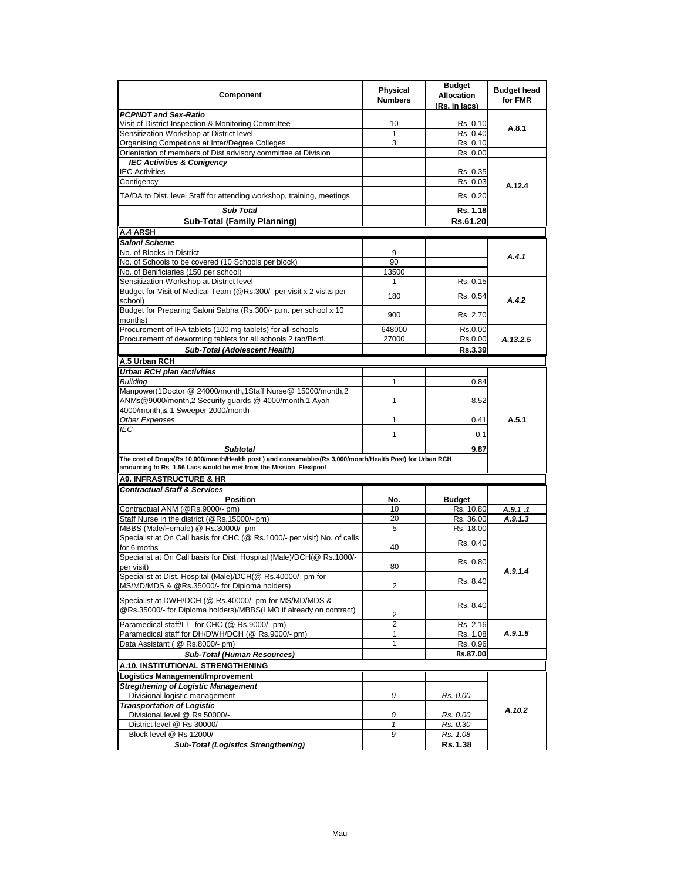| Component                                                                                                                                                                     | <b>Physical</b><br><b>Numbers</b> | <b>Budget</b><br><b>Allocation</b><br>(Rs. in lacs) | <b>Budget head</b><br>for FMR |
|-------------------------------------------------------------------------------------------------------------------------------------------------------------------------------|-----------------------------------|-----------------------------------------------------|-------------------------------|
| <b>PCPNDT and Sex-Ratio</b>                                                                                                                                                   |                                   |                                                     |                               |
| Visit of District Inspection & Monitoring Committee                                                                                                                           | 10                                | Rs. 0.10                                            | A.8.1                         |
| Sensitization Workshop at District level                                                                                                                                      | 1                                 | Rs. 0.40                                            |                               |
| Organising Competions at Inter/Degree Colleges                                                                                                                                | 3                                 | Rs. 0.10                                            |                               |
| Orientation of members of Dist advisory committee at Division                                                                                                                 |                                   | Rs. 0.00                                            |                               |
| <b>IEC Activities &amp; Conigency</b>                                                                                                                                         |                                   |                                                     |                               |
| <b>IEC Activities</b>                                                                                                                                                         |                                   | Rs. 0.35                                            |                               |
| Contigency                                                                                                                                                                    |                                   | Rs. 0.03                                            | A.12.4                        |
| TA/DA to Dist. level Staff for attending workshop, training, meetings                                                                                                         |                                   | Rs. 0.20                                            |                               |
| <b>Sub Total</b>                                                                                                                                                              |                                   | Rs. 1.18                                            |                               |
| <b>Sub-Total (Family Planning)</b>                                                                                                                                            |                                   | Rs.61.20                                            |                               |
| <b>A.4 ARSH</b>                                                                                                                                                               |                                   |                                                     |                               |
| Saloni Scheme                                                                                                                                                                 |                                   |                                                     |                               |
| No. of Blocks in District                                                                                                                                                     | 9                                 |                                                     |                               |
| No. of Schools to be covered (10 Schools per block)                                                                                                                           | 90                                |                                                     | A.4.1                         |
| No. of Benificiaries (150 per school)                                                                                                                                         | 13500                             |                                                     |                               |
| Sensitization Workshop at District level                                                                                                                                      | 1                                 | Rs. 0.15                                            |                               |
| Budget for Visit of Medical Team (@Rs.300/- per visit x 2 visits per                                                                                                          |                                   |                                                     |                               |
| school)                                                                                                                                                                       | 180                               | Rs. 0.54                                            | A.4.2                         |
| Budget for Preparing Saloni Sabha (Rs.300/- p.m. per school x 10<br>months)                                                                                                   | 900                               | Rs. 2.70                                            |                               |
| Procurement of IFA tablets (100 mg tablets) for all schools                                                                                                                   | 648000                            | Rs.0.00                                             |                               |
| Procurement of deworming tablets for all schools 2 tab/Benf.                                                                                                                  | 27000                             | Rs.0.00                                             | A.13.2.5                      |
| Sub-Total (Adolescent Health)                                                                                                                                                 |                                   | Rs.3.39                                             |                               |
| A.5 Urban RCH                                                                                                                                                                 |                                   |                                                     |                               |
| Urban RCH plan /activities                                                                                                                                                    |                                   |                                                     |                               |
| <b>Building</b>                                                                                                                                                               | $\mathbf{1}$                      | 0.84                                                |                               |
| Manpower(1Doctor @ 24000/month,1Staff Nurse@ 15000/month,2<br>ANMs@9000/month,2 Security guards @ 4000/month,1 Ayah                                                           | 1                                 | 8.52                                                |                               |
| 4000/month,& 1 Sweeper 2000/month                                                                                                                                             |                                   |                                                     |                               |
|                                                                                                                                                                               | 1                                 |                                                     | A.5.1                         |
| <b>Other Expenses</b><br>IEC                                                                                                                                                  |                                   | 0.41                                                |                               |
|                                                                                                                                                                               | 1                                 | 0.1                                                 |                               |
| <b>Subtotal</b>                                                                                                                                                               |                                   | 9.87                                                |                               |
| The cost of Drugs(Rs 10,000/month/Health post) and consumables(Rs 3,000/month/Health Post) for Urban RCH<br>amounting to Rs 1.56 Lacs would be met from the Mission Flexipool |                                   |                                                     |                               |
| <b>A9. INFRASTRUCTURE &amp; HR</b>                                                                                                                                            |                                   |                                                     |                               |
| <b>Contractual Staff &amp; Services</b>                                                                                                                                       |                                   |                                                     |                               |
| <b>Position</b>                                                                                                                                                               | No.                               | <b>Budget</b>                                       |                               |
| Contractual ANM (@Rs.9000/- pm)                                                                                                                                               | 10                                | Rs. 10.80                                           | A.9.1.1                       |
| Staff Nurse in the district (@Rs.15000/- pm)                                                                                                                                  | 20                                | Rs. 36.00                                           | A.9.1.3                       |
| MBBS (Male/Female) @ Rs.30000/- pm                                                                                                                                            | 5                                 | Rs. 18.00                                           |                               |
| Specialist at On Call basis for CHC (@ Rs.1000/- per visit) No. of calls                                                                                                      |                                   |                                                     |                               |
| for 6 moths                                                                                                                                                                   | 40                                | Rs. 0.40                                            |                               |
| Specialist at On Call basis for Dist. Hospital (Male)/DCH(@ Rs.1000/-<br>per visit)                                                                                           | 80                                | Rs. 0.80                                            |                               |
| Specialist at Dist. Hospital (Male)/DCH(@ Rs.40000/- pm for                                                                                                                   |                                   |                                                     | A.9.1.4                       |
| MS/MD/MDS & @Rs.35000/- for Diploma holders)                                                                                                                                  | 2                                 | Rs. 8.40                                            |                               |
| Specialist at DWH/DCH (@ Rs.40000/- pm for MS/MD/MDS &                                                                                                                        |                                   | Rs. 8.40                                            |                               |
| @Rs.35000/- for Diploma holders)/MBBS(LMO if already on contract)                                                                                                             | 2                                 |                                                     |                               |
| Paramedical staff/LT for CHC (@ Rs.9000/- pm)                                                                                                                                 | $\overline{2}$                    | Rs. 2.16                                            |                               |
| Paramedical staff for DH/DWH/DCH (@ Rs.9000/- pm)                                                                                                                             | 1                                 | Rs. 1.08                                            | A.9.1.5                       |
| Data Assistant ( @ Rs.8000/- pm)                                                                                                                                              | 1                                 | Rs. 0.96                                            |                               |
| <b>Sub-Total (Human Resources)</b>                                                                                                                                            |                                   | Rs.87.00                                            |                               |
|                                                                                                                                                                               |                                   |                                                     |                               |
| A.10. INSTITUTIONAL STRENGTHENING                                                                                                                                             |                                   |                                                     |                               |
| Logistics Management/Improvement                                                                                                                                              |                                   |                                                     |                               |
| <b>Stregthening of Logistic Management</b>                                                                                                                                    |                                   |                                                     |                               |
| Divisional logistic management                                                                                                                                                | 0                                 | Rs. 0.00                                            |                               |
| <b>Transportation of Logistic</b>                                                                                                                                             |                                   |                                                     | A.10.2                        |
| Divisional level @ Rs 50000/-                                                                                                                                                 | 0                                 | Rs. 0.00                                            |                               |
| District level @ Rs 30000/-                                                                                                                                                   | $\mathbf{1}$                      | Rs. 0.30                                            |                               |
| Block level @ Rs 12000/-                                                                                                                                                      | 9                                 | Rs. 1.08                                            |                               |
| <b>Sub-Total (Logistics Strengthening)</b>                                                                                                                                    |                                   | Rs.1.38                                             |                               |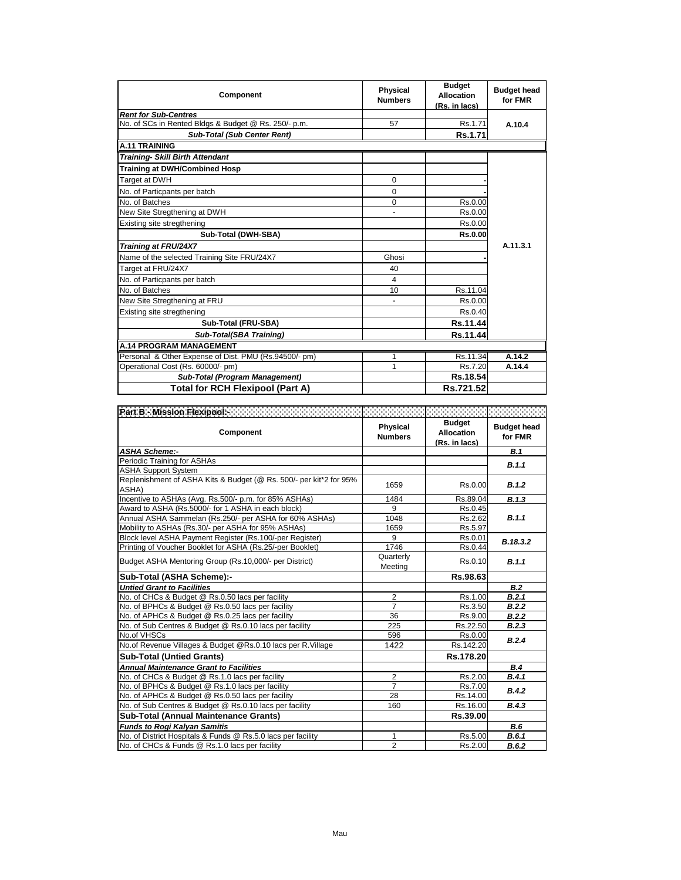| <b>Component</b>                                      | <b>Physical</b><br><b>Numbers</b> | <b>Budget</b><br><b>Allocation</b><br>(Rs. in lacs) | <b>Budget head</b><br>for FMR |
|-------------------------------------------------------|-----------------------------------|-----------------------------------------------------|-------------------------------|
| <b>Rent for Sub-Centres</b>                           |                                   |                                                     |                               |
| No. of SCs in Rented Bldgs & Budget @ Rs. 250/- p.m.  | 57                                | Rs.1.71                                             | A.10.4                        |
| <b>Sub-Total (Sub Center Rent)</b>                    |                                   | Rs.1.71                                             |                               |
| <b>A.11 TRAINING</b>                                  |                                   |                                                     |                               |
| <b>Training- Skill Birth Attendant</b>                |                                   |                                                     |                               |
| <b>Training at DWH/Combined Hosp</b>                  |                                   |                                                     |                               |
| Target at DWH                                         | 0                                 |                                                     |                               |
| No. of Particpants per batch                          | $\Omega$                          |                                                     |                               |
| No. of Batches                                        | 0                                 | Rs.0.00                                             |                               |
| New Site Stregthening at DWH                          | $\overline{\phantom{a}}$          | Rs.0.00                                             |                               |
| Existing site stregthening                            |                                   | Rs.0.00                                             |                               |
| Sub-Total (DWH-SBA)                                   |                                   | Rs.0.00                                             |                               |
| Training at FRU/24X7                                  |                                   |                                                     | A.11.3.1                      |
| Name of the selected Training Site FRU/24X7           | Ghosi                             |                                                     |                               |
| Target at FRU/24X7                                    | 40                                |                                                     |                               |
| No. of Particpants per batch                          | 4                                 |                                                     |                               |
| No. of Batches                                        | 10                                | Rs.11.04                                            |                               |
| New Site Stregthening at FRU                          |                                   | Rs.0.00                                             |                               |
| Existing site stregthening                            |                                   | Rs.0.40                                             |                               |
| Sub-Total (FRU-SBA)                                   |                                   | Rs.11.44                                            |                               |
| Sub-Total(SBA Training)                               |                                   | Rs.11.44                                            |                               |
| <b>A.14 PROGRAM MANAGEMENT</b>                        |                                   |                                                     |                               |
| Personal & Other Expense of Dist. PMU (Rs.94500/- pm) | 1                                 | Rs.11.34                                            | A.14.2                        |
| Operational Cost (Rs. 60000/- pm)                     | 1                                 | Rs.7.20                                             | A.14.4                        |
| Sub-Total (Program Management)                        |                                   | Rs.18.54                                            |                               |
| <b>Total for RCH Flexipool (Part A)</b>               |                                   | Rs.721.52                                           |                               |

| Part B - Mission Flexipools                                                 |                            |                                                     |                               |
|-----------------------------------------------------------------------------|----------------------------|-----------------------------------------------------|-------------------------------|
| Component                                                                   | Physical<br><b>Numbers</b> | <b>Budget</b><br><b>Allocation</b><br>(Rs. in lacs) | <b>Budget head</b><br>for FMR |
| <b>ASHA Scheme:-</b>                                                        |                            |                                                     | <b>B.1</b>                    |
| Periodic Training for ASHAs                                                 |                            |                                                     | B.1.1                         |
| <b>ASHA Support System</b>                                                  |                            |                                                     |                               |
| Replenishment of ASHA Kits & Budget (@ Rs. 500/- per kit*2 for 95%<br>ASHA) | 1659                       | Rs.0.00                                             | B.1.2                         |
| Incentive to ASHAs (Avg. Rs.500/- p.m. for 85% ASHAs)                       | 1484                       | Rs.89.04                                            | B.1.3                         |
| Award to ASHA (Rs.5000/- for 1 ASHA in each block)                          | 9                          | Rs.0.45                                             |                               |
| Annual ASHA Sammelan (Rs.250/- per ASHA for 60% ASHAs)                      | 1048                       | Rs.2.62                                             | B.1.1                         |
| Mobility to ASHAs (Rs.30/- per ASHA for 95% ASHAs)                          | 1659                       | Rs.5.97                                             |                               |
| Block level ASHA Payment Register (Rs.100/-per Register)                    | 9                          | Rs.0.01                                             | B.18.3.2                      |
| Printing of Voucher Booklet for ASHA (Rs.25/-per Booklet)                   | 1746                       | Rs.0.44                                             |                               |
| Budget ASHA Mentoring Group (Rs.10,000/- per District)                      | Quarterly<br>Meeting       | Rs.0.10                                             | B.1.1                         |
| Sub-Total (ASHA Scheme):-                                                   |                            | Rs.98.63                                            |                               |
| <b>Untied Grant to Facilities</b>                                           |                            |                                                     | B.2                           |
| No. of CHCs & Budget @ Rs.0.50 lacs per facility                            | $\overline{2}$             | Rs.1.00                                             | B.2.1                         |
| No. of BPHCs & Budget @ Rs.0.50 lacs per facility                           | $\overline{7}$             | Rs.3.50                                             | B.2.2                         |
| No. of APHCs & Budget @ Rs.0.25 lacs per facility                           | 36                         | Rs.9.00                                             | B.2.2                         |
| No. of Sub Centres & Budget @ Rs.0.10 lacs per facility                     | 225                        | Rs.22.50                                            | B.2.3                         |
| No.of VHSCs                                                                 | 596                        | Rs.0.00                                             | B.2.4                         |
| No.of Revenue Villages & Budget @Rs.0.10 lacs per R. Village                | 1422                       | Rs.142.20                                           |                               |
| <b>Sub-Total (Untied Grants)</b>                                            |                            | Rs.178.20                                           |                               |
| <b>Annual Maintenance Grant to Facilities</b>                               |                            |                                                     | B.4                           |
| No. of CHCs & Budget @ Rs.1.0 lacs per facility                             | $\overline{2}$             | Rs.2.00                                             | B.4.1                         |
| No. of BPHCs & Budget @ Rs.1.0 lacs per facility                            | $\overline{7}$             | Rs.7.00                                             | B.4.2                         |
| No. of APHCs & Budget @ Rs.0.50 lacs per facility                           | 28                         | Rs.14.00                                            |                               |
| No. of Sub Centres & Budget @ Rs.0.10 lacs per facility                     | 160                        | Rs.16.00                                            | B.4.3                         |
| <b>Sub-Total (Annual Maintenance Grants)</b>                                |                            | Rs.39.00                                            |                               |
| <b>Funds to Rogi Kalyan Samitis</b>                                         |                            |                                                     | B.6                           |
| No. of District Hospitals & Funds @ Rs.5.0 lacs per facility                | $\mathbf{1}$               | Rs.5.00                                             | B.6.1                         |
| No. of CHCs & Funds @ Rs.1.0 lacs per facility                              | $\overline{2}$             | Rs.2.00                                             | B.6.2                         |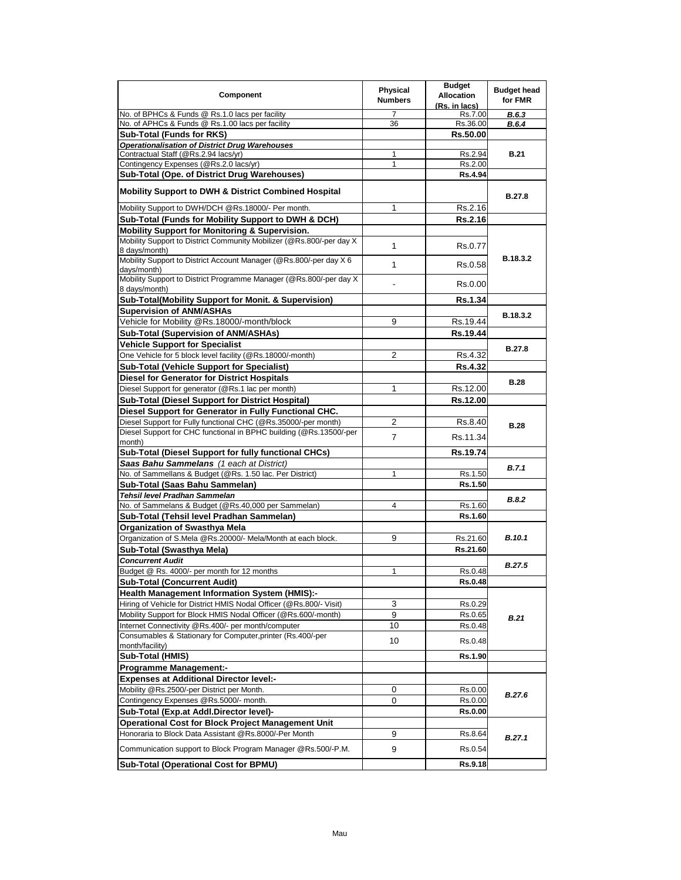| <b>Component</b>                                                                       | Physical<br><b>Numbers</b> | <b>Budget</b><br><b>Allocation</b><br>(Rs. in lacs) | <b>Budget head</b><br>for FMR |
|----------------------------------------------------------------------------------------|----------------------------|-----------------------------------------------------|-------------------------------|
| No. of BPHCs & Funds @ Rs.1.0 lacs per facility                                        | 7                          | Rs.7.00                                             | B.6.3                         |
| No. of APHCs & Funds @ Rs.1.00 lacs per facility                                       | 36                         | Rs.36.00                                            | B.6.4                         |
| <b>Sub-Total (Funds for RKS)</b>                                                       |                            | Rs.50.00                                            |                               |
| <b>Operationalisation of District Drug Warehouses</b>                                  |                            |                                                     |                               |
| Contractual Staff (@Rs.2.94 lacs/yr)                                                   | 1                          | Rs.2.94                                             | <b>B.21</b>                   |
| Contingency Expenses (@Rs.2.0 lacs/yr)                                                 | 1                          | Rs.2.00                                             |                               |
| Sub-Total (Ope. of District Drug Warehouses)                                           |                            | <b>Rs.4.94</b>                                      |                               |
| <b>Mobility Support to DWH &amp; District Combined Hospital</b>                        |                            |                                                     | <b>B.27.8</b>                 |
| Mobility Support to DWH/DCH @Rs.18000/- Per month.                                     | $\mathbf{1}$               | Rs.2.16                                             |                               |
| Sub-Total (Funds for Mobility Support to DWH & DCH)                                    |                            | Rs.2.16                                             |                               |
| <b>Mobility Support for Monitoring &amp; Supervision.</b>                              |                            |                                                     |                               |
| Mobility Support to District Community Mobilizer (@Rs.800/-per day X)<br>8 days/month) | $\mathbf{1}$               | Rs.0.77                                             |                               |
| Mobility Support to District Account Manager (@Rs.800/-per day X 6<br>days/month)      | $\mathbf{1}$               | Rs.0.58                                             | B.18.3.2                      |
| Mobility Support to District Programme Manager (@Rs.800/-per day X)<br>8 days/month)   | ٠                          | Rs.0.00                                             |                               |
| Sub-Total(Mobility Support for Monit. & Supervision)                                   |                            | Rs.1.34                                             |                               |
| <b>Supervision of ANM/ASHAs</b>                                                        |                            |                                                     | B.18.3.2                      |
| Vehicle for Mobility @Rs.18000/-month/block                                            | 9                          | Rs.19.44                                            |                               |
| Sub-Total (Supervision of ANM/ASHAs)                                                   |                            | Rs.19.44                                            |                               |
| <b>Vehicle Support for Specialist</b>                                                  |                            |                                                     |                               |
| One Vehicle for 5 block level facility (@Rs.18000/-month)                              | 2                          | Rs.4.32                                             | <b>B.27.8</b>                 |
| <b>Sub-Total (Vehicle Support for Specialist)</b>                                      |                            | <b>Rs.4.32</b>                                      |                               |
| <b>Diesel for Generator for District Hospitals</b>                                     |                            |                                                     |                               |
| Diesel Support for generator (@Rs.1 lac per month)                                     | 1                          | Rs.12.00                                            | <b>B.28</b>                   |
| <b>Sub-Total (Diesel Support for District Hospital)</b>                                |                            | Rs.12.00                                            |                               |
| Diesel Support for Generator in Fully Functional CHC.                                  |                            |                                                     |                               |
| Diesel Support for Fully functional CHC (@Rs.35000/-per month)                         | $\overline{2}$             | Rs.8.40                                             |                               |
| Diesel Support for CHC functional in BPHC building (@Rs.13500/-per                     |                            |                                                     | <b>B.28</b>                   |
| month)                                                                                 | $\overline{7}$             | Rs.11.34                                            |                               |
| Sub-Total (Diesel Support for fully functional CHCs)                                   |                            | Rs.19.74                                            |                               |
| Saas Bahu Sammelans (1 each at District)                                               |                            |                                                     | <b>B.7.1</b>                  |
| No. of Sammellans & Budget (@Rs. 1.50 lac. Per District)                               | 1                          | Rs.1.50                                             |                               |
| Sub-Total (Saas Bahu Sammelan)                                                         |                            | Rs.1.50                                             |                               |
| Tehsil level Pradhan Sammelan                                                          |                            |                                                     | <b>B.8.2</b>                  |
| No. of Sammelans & Budget (@Rs.40,000 per Sammelan)                                    | 4                          | Rs.1.60                                             |                               |
| Sub-Total (Tehsil level Pradhan Sammelan)                                              |                            | Rs.1.60                                             |                               |
| <b>Organization of Swasthya Mela</b>                                                   |                            |                                                     |                               |
| Organization of S.Mela @Rs.20000/- Mela/Month at each block.                           | 9                          | Rs.21.60                                            | <b>B.10.1</b>                 |
| Sub-Total (Swasthya Mela)                                                              |                            | Rs.21.60                                            |                               |
| <b>Concurrent Audit</b>                                                                |                            |                                                     | <b>B.27.5</b>                 |
| Budget @ Rs. 4000/- per month for 12 months                                            | $\mathbf{1}$               | Rs.0.48                                             |                               |
| <b>Sub-Total (Concurrent Audit)</b>                                                    |                            | Rs.0.48                                             |                               |
| <b>Health Management Information System (HMIS):-</b>                                   |                            |                                                     |                               |
| Hiring of Vehicle for District HMIS Nodal Officer (@Rs.800/- Visit)                    | 3                          | Rs.0.29                                             |                               |
| Mobility Support for Block HMIS Nodal Officer (@Rs.600/-month)                         | 9                          | Rs.0.65                                             | B.21                          |
| Internet Connectivity @Rs.400/- per month/computer                                     | 10                         | Rs.0.48                                             |                               |
| Consumables & Stationary for Computer, printer (Rs.400/-per<br>month/facility)         | 10                         | Rs.0.48                                             |                               |
| Sub-Total (HMIS)                                                                       |                            | Rs.1.90                                             |                               |
| <b>Programme Management:-</b>                                                          |                            |                                                     |                               |
| <b>Expenses at Additional Director level:-</b>                                         |                            |                                                     |                               |
| Mobility @Rs.2500/-per District per Month.                                             | 0                          | Rs.0.00                                             |                               |
| Contingency Expenses @Rs.5000/- month.                                                 | 0                          | Rs.0.00                                             | <b>B.27.6</b>                 |
| Sub-Total (Exp.at Addl.Director level)-                                                |                            | Rs.0.00                                             |                               |
| <b>Operational Cost for Block Project Management Unit</b>                              |                            |                                                     |                               |
| Honoraria to Block Data Assistant @Rs.8000/-Per Month                                  | 9                          | Rs.8.64                                             |                               |
|                                                                                        |                            |                                                     | B.27.1                        |
| Communication support to Block Program Manager @Rs.500/-P.M.                           | 9                          | Rs.0.54                                             |                               |
| <b>Sub-Total (Operational Cost for BPMU)</b>                                           |                            | Rs.9.18                                             |                               |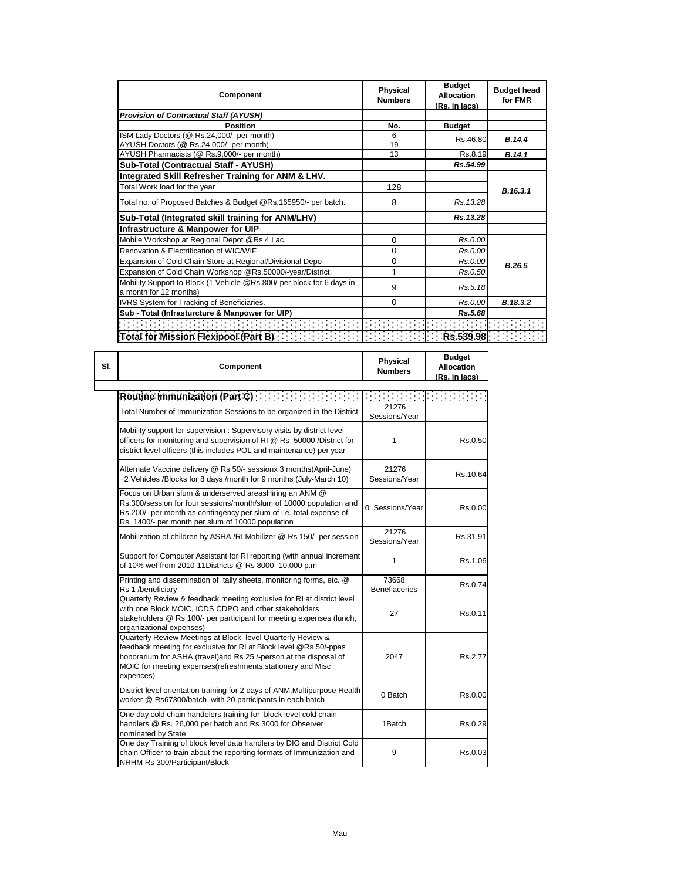| Component                                                                                       | Physical<br><b>Numbers</b> | <b>Budget</b><br><b>Allocation</b><br>(Rs. in lacs) | <b>Budget head</b><br>for FMR |
|-------------------------------------------------------------------------------------------------|----------------------------|-----------------------------------------------------|-------------------------------|
| <b>Provision of Contractual Staff (AYUSH)</b>                                                   |                            |                                                     |                               |
| <b>Position</b>                                                                                 | No.                        | <b>Budget</b>                                       |                               |
| ISM Lady Doctors (@ Rs.24,000/- per month)                                                      | 6                          | Rs.46.80                                            | B.14.4                        |
| AYUSH Doctors (@ Rs.24,000/- per month)                                                         | 19                         |                                                     |                               |
| AYUSH Pharmacists (@ Rs.9,000/- per month)                                                      | 13                         | Rs.8.19                                             | B.14.1                        |
| Sub-Total (Contractual Staff - AYUSH)                                                           |                            | Rs.54.99                                            |                               |
| Integrated Skill Refresher Training for ANM & LHV.                                              |                            |                                                     |                               |
| Total Work load for the year                                                                    | 128                        |                                                     | B.16.3.1                      |
| Total no. of Proposed Batches & Budget @Rs.165950/- per batch.                                  | 8                          | Rs. 13.28                                           |                               |
| Sub-Total (Integrated skill training for ANM/LHV)                                               |                            | Rs.13.28                                            |                               |
| Infrastructure & Manpower for UIP                                                               |                            |                                                     |                               |
| Mobile Workshop at Regional Depot @Rs.4 Lac.                                                    | 0                          | Rs.0.00                                             |                               |
| Renovation & Electrification of WIC/WIF                                                         | 0                          | Rs.0.00                                             |                               |
| Expansion of Cold Chain Store at Regional/Divisional Depo                                       | 0                          | Rs.0.00                                             | B.26.5                        |
| Expansion of Cold Chain Workshop @Rs.50000/-year/District.                                      | 1                          | Rs.0.50                                             |                               |
| Mobility Support to Block (1 Vehicle @Rs.800/-per block for 6 days in<br>a month for 12 months) | 9                          | Rs.5.18                                             |                               |
| IVRS System for Tracking of Beneficiaries.                                                      | 0                          | Rs.0.00                                             | B.18.3.2                      |
| Sub - Total (Infrasturcture & Manpower for UIP)                                                 |                            | Rs.5.68                                             |                               |
|                                                                                                 |                            |                                                     |                               |
| Total for Mission Flexipool (Part B) [1999] [1999] [1999] [1999] [1999] [1999] [1999] [1999]    |                            |                                                     |                               |

| SI. | Component                                                                                                                                                                                                                                                                          | <b>Physical</b><br><b>Numbers</b> | <b>Budget</b><br><b>Allocation</b><br>(Rs. in lacs) |
|-----|------------------------------------------------------------------------------------------------------------------------------------------------------------------------------------------------------------------------------------------------------------------------------------|-----------------------------------|-----------------------------------------------------|
|     | Routine Immunization (Part C) [11] [11] [11] [11] [11] [11]                                                                                                                                                                                                                        |                                   |                                                     |
|     | Total Number of Immunization Sessions to be organized in the District                                                                                                                                                                                                              | 21276<br>Sessions/Year            |                                                     |
|     | Mobility support for supervision : Supervisory visits by district level<br>officers for monitoring and supervision of RI @ Rs 50000 /District for<br>district level officers (this includes POL and maintenance) per year                                                          | 1                                 | Rs.0.50                                             |
|     | Alternate Vaccine delivery @ Rs 50/- sessionx 3 months(April-June)<br>+2 Vehicles /Blocks for 8 days /month for 9 months (July-March 10)                                                                                                                                           | 21276<br>Sessions/Year            | Rs.10.64                                            |
|     | Focus on Urban slum & underserved areasHiring an ANM @<br>Rs.300/session for four sessions/month/slum of 10000 population and<br>Rs.200/- per month as contingency per slum of i.e. total expense of<br>Rs. 1400/- per month per slum of 10000 population                          | 0 Sessions/Year                   | Rs.0.00                                             |
|     | Mobilization of children by ASHA /RI Mobilizer @ Rs 150/- per session                                                                                                                                                                                                              | 21276<br>Sessions/Year            | Rs.31.91                                            |
|     | Support for Computer Assistant for RI reporting (with annual increment<br>of 10% wef from 2010-11Districts @ Rs 8000- 10,000 p.m                                                                                                                                                   | 1                                 | Rs.1.06                                             |
|     | Printing and dissemination of tally sheets, monitoring forms, etc. @<br>Rs 1 /beneficiary                                                                                                                                                                                          | 73668<br><b>Benefiaceries</b>     | Rs.0.74                                             |
|     | Quarterly Review & feedback meeting exclusive for RI at district level<br>with one Block MOIC, ICDS CDPO and other stakeholders<br>stakeholders @ Rs 100/- per participant for meeting expenses (lunch,<br>organizational expenses)                                                | 27                                | Rs.0.11                                             |
|     | Quarterly Review Meetings at Block level Quarterly Review &<br>feedback meeting for exclusive for RI at Block level @Rs 50/-ppas<br>honorarium for ASHA (travel)and Rs 25 /-person at the disposal of<br>MOIC for meeting expenses (refreshments, stationary and Misc<br>expences) | 2047                              | Rs.2.77                                             |
|     | District level orientation training for 2 days of ANM, Multipurpose Health<br>worker @ Rs67300/batch with 20 participants in each batch                                                                                                                                            | 0 Batch                           | Rs.0.00                                             |
|     | One day cold chain handelers training for block level cold chain<br>handlers @ Rs. 26,000 per batch and Rs 3000 for Observer<br>nominated by State                                                                                                                                 | 1Batch                            | Rs.0.29                                             |
|     | One day Training of block level data handlers by DIO and District Cold<br>chain Officer to train about the reporting formats of Immunization and<br>NRHM Rs 300/Participant/Block                                                                                                  | 9                                 | Rs.0.03                                             |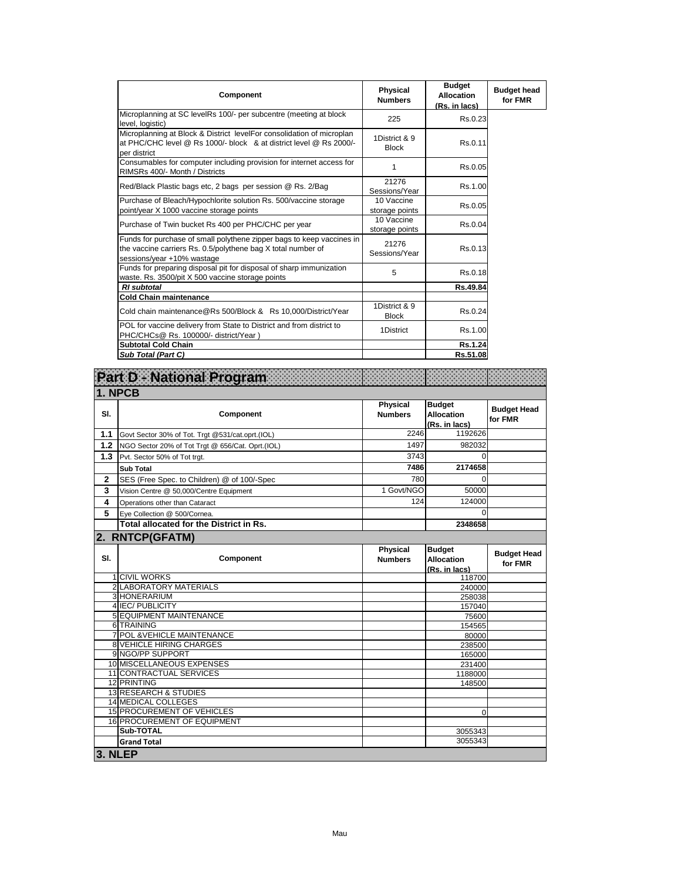| Component                                                                                                                                                           | Physical<br><b>Numbers</b>    | <b>Budget</b><br><b>Allocation</b><br>(Rs. in lacs) | <b>Budget head</b><br>for FMR |
|---------------------------------------------------------------------------------------------------------------------------------------------------------------------|-------------------------------|-----------------------------------------------------|-------------------------------|
| Microplanning at SC levelRs 100/- per subcentre (meeting at block<br>level, logistic)                                                                               | 225                           | Rs.0.23                                             |                               |
| Microplanning at Block & District levelFor consolidation of microplan<br>at PHC/CHC level @ Rs 1000/- block & at district level @ Rs 2000/-<br>per district         | 1District & 9<br><b>Block</b> | Rs.0.11                                             |                               |
| Consumables for computer including provision for internet access for<br>RIMSRs 400/- Month / Districts                                                              | 1                             | Rs.0.05                                             |                               |
| Red/Black Plastic bags etc, 2 bags per session @ Rs. 2/Bag                                                                                                          | 21276<br>Sessions/Year        | Rs.1.00                                             |                               |
| Purchase of Bleach/Hypochlorite solution Rs. 500/vaccine storage<br>point/year X 1000 vaccine storage points                                                        | 10 Vaccine<br>storage points  | Rs.0.05                                             |                               |
| Purchase of Twin bucket Rs 400 per PHC/CHC per year                                                                                                                 | 10 Vaccine<br>storage points  | Rs.0.04                                             |                               |
| Funds for purchase of small polythene zipper bags to keep vaccines in<br>the vaccine carriers Rs. 0.5/polythene bag X total number of<br>sessions/year +10% wastage | 21276<br>Sessions/Year        | Rs.0.13                                             |                               |
| Funds for preparing disposal pit for disposal of sharp immunization<br>waste. Rs. 3500/pit X 500 vaccine storage points                                             | 5                             | Rs.0.18                                             |                               |
| <b>RI</b> subtotal                                                                                                                                                  |                               | Rs.49.84                                            |                               |
| <b>Cold Chain maintenance</b>                                                                                                                                       |                               |                                                     |                               |
| Cold chain maintenance@Rs 500/Block & Rs 10,000/District/Year                                                                                                       | 1District & 9<br><b>Block</b> | Rs.0.24                                             |                               |
| POL for vaccine delivery from State to District and from district to<br>PHC/CHCs@ Rs. 100000/- district/Year)                                                       | 1District                     | Rs.1.00                                             |                               |
| <b>Subtotal Cold Chain</b>                                                                                                                                          |                               | Rs.1.24                                             |                               |
| Sub Total (Part C)                                                                                                                                                  |                               | Rs.51.08                                            |                               |

|              | Part D - National Program                                      |                                   |                                                     |                               |
|--------------|----------------------------------------------------------------|-----------------------------------|-----------------------------------------------------|-------------------------------|
|              | 1. NPCB                                                        |                                   |                                                     |                               |
| SI.          | Component                                                      | Physical<br><b>Numbers</b>        | <b>Budget</b><br><b>Allocation</b><br>(Rs. in lacs) | <b>Budget Head</b><br>for FMR |
| 1.1          | Govt Sector 30% of Tot. Trgt @531/cat.oprt.(IOL)               | 2246                              | 1192626                                             |                               |
| 1.2          | NGO Sector 20% of Tot Trgt @ 656/Cat. Oprt.(IOL)               | 1497                              | 982032                                              |                               |
| 1.3          | Pvt. Sector 50% of Tot trgt.                                   | 3743                              | $\Omega$                                            |                               |
|              | <b>Sub Total</b>                                               | 7486                              | 2174658                                             |                               |
| $\mathbf{2}$ | SES (Free Spec. to Children) @ of 100/-Spec                    | 780                               | $\Omega$                                            |                               |
| 3            | Vision Centre @ 50,000/Centre Equipment                        | 1 Govt/NGO                        | 50000                                               |                               |
| 4            | Operations other than Cataract                                 | 124                               | 124000                                              |                               |
| 5            | Eye Collection @ 500/Cornea.                                   |                                   | $\Omega$                                            |                               |
|              | Total allocated for the District in Rs.                        |                                   | 2348658                                             |                               |
|              | 2. RNTCP(GFATM)                                                |                                   |                                                     |                               |
| SI.          | Component                                                      | <b>Physical</b><br><b>Numbers</b> | <b>Budget</b><br><b>Allocation</b><br>(Rs. in lacs) | <b>Budget Head</b><br>for FMR |
|              | <b>1 CIVIL WORKS</b>                                           |                                   | 118700                                              |                               |
|              | 2 LABORATORY MATERIALS                                         |                                   | 240000                                              |                               |
|              | 3 HONERARIUM                                                   |                                   | 258038                                              |                               |
|              | 4 IEC/PUBLICITY                                                |                                   | 157040                                              |                               |
|              | <b>5 EQUIPMENT MAINTENANCE</b>                                 |                                   | 75600                                               |                               |
|              | 6 TRAINING                                                     |                                   | 154565                                              |                               |
|              | 7 POL & VEHICLE MAINTENANCE<br><b>8 VEHICLE HIRING CHARGES</b> |                                   | 80000                                               |                               |
|              | 9 NGO/PP SUPPORT                                               |                                   | 238500<br>165000                                    |                               |
|              | 10 MISCELLANEOUS EXPENSES                                      |                                   | 231400                                              |                               |
|              | 11 CONTRACTUAL SERVICES                                        |                                   | 1188000                                             |                               |
|              | 12 PRINTING                                                    |                                   | 148500                                              |                               |
|              | 13 RESEARCH & STUDIES                                          |                                   |                                                     |                               |
|              | <b>14 MEDICAL COLLEGES</b>                                     |                                   |                                                     |                               |
|              | <b>15 PROCUREMENT OF VEHICLES</b>                              |                                   | $\Omega$                                            |                               |
|              | 16 PROCUREMENT OF EQUIPMENT                                    |                                   |                                                     |                               |
|              |                                                                |                                   |                                                     |                               |
|              | Sub-TOTAL                                                      |                                   | 3055343                                             |                               |
| 3. NLEP      | <b>Grand Total</b>                                             |                                   | 3055343                                             |                               |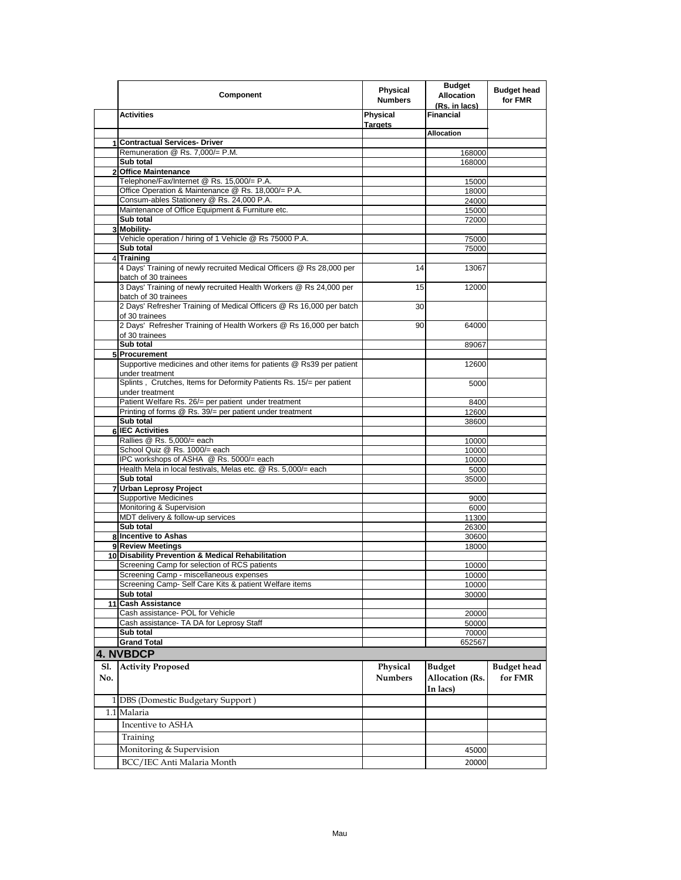|     | Component                                                                                        | Physical<br><b>Numbers</b> | <b>Budget</b><br><b>Allocation</b><br>(Rs. in lacs) | <b>Budget head</b><br>for FMR |
|-----|--------------------------------------------------------------------------------------------------|----------------------------|-----------------------------------------------------|-------------------------------|
|     | <b>Activities</b>                                                                                | Physical<br><b>Targets</b> | <b>Financial</b>                                    |                               |
|     |                                                                                                  |                            | <b>Allocation</b>                                   |                               |
|     | 1 Contractual Services- Driver                                                                   |                            |                                                     |                               |
|     | Remuneration @ Rs. 7,000/= P.M.                                                                  |                            | 168000                                              |                               |
|     | Sub total                                                                                        |                            | 168000                                              |                               |
|     | 2 Office Maintenance                                                                             |                            |                                                     |                               |
|     | Telephone/Fax/Internet @ Rs. 15,000/= P.A.<br>Office Operation & Maintenance @ Rs. 18,000/= P.A. |                            | 15000                                               |                               |
|     | Consum-ables Stationery @ Rs. 24,000 P.A.                                                        |                            | 18000<br>24000                                      |                               |
|     | Maintenance of Office Equipment & Furniture etc.                                                 |                            | 15000                                               |                               |
|     | Sub total                                                                                        |                            | 72000                                               |                               |
|     | 3 Mobility-                                                                                      |                            |                                                     |                               |
|     | Vehicle operation / hiring of 1 Vehicle @ Rs 75000 P.A.                                          |                            | 75000                                               |                               |
|     | Sub total                                                                                        |                            | 75000                                               |                               |
|     | 4 Training                                                                                       |                            |                                                     |                               |
|     | 4 Days' Training of newly recruited Medical Officers @ Rs 28,000 per<br>batch of 30 trainees     | 14                         | 13067                                               |                               |
|     | 3 Days' Training of newly recruited Health Workers @ Rs 24,000 per<br>batch of 30 trainees       | 15                         | 12000                                               |                               |
|     | 2 Days' Refresher Training of Medical Officers @ Rs 16,000 per batch<br>of 30 trainees           | 30                         |                                                     |                               |
|     | 2 Days' Refresher Training of Health Workers @ Rs 16,000 per batch<br>of 30 trainees             | 90                         | 64000                                               |                               |
|     | Sub total                                                                                        |                            | 89067                                               |                               |
|     | 5 Procurement                                                                                    |                            |                                                     |                               |
|     | Supportive medicines and other items for patients @ Rs39 per patient                             |                            | 12600                                               |                               |
|     | under treatment                                                                                  |                            |                                                     |                               |
|     | Splints, Crutches, Items for Deformity Patients Rs. 15/= per patient                             |                            | 5000                                                |                               |
|     | under treatment<br>Patient Welfare Rs. 26/= per patient under treatment                          |                            |                                                     |                               |
|     | Printing of forms @ Rs. 39/= per patient under treatment                                         |                            | 8400<br>12600                                       |                               |
|     | Sub total                                                                                        |                            | 38600                                               |                               |
|     | 6 IEC Activities                                                                                 |                            |                                                     |                               |
|     | Rallies @ Rs. 5,000/= each                                                                       |                            | 10000                                               |                               |
|     | School Quiz @ Rs. 1000/= each                                                                    |                            | 10000                                               |                               |
|     | IPC workshops of ASHA @ Rs. 5000/= each                                                          |                            | 10000                                               |                               |
|     | Health Mela in local festivals, Melas etc. @ Rs. 5,000/= each                                    |                            | 5000                                                |                               |
|     | Sub total                                                                                        |                            | 35000                                               |                               |
|     | 7 Urban Leprosy Project                                                                          |                            |                                                     |                               |
|     | <b>Supportive Medicines</b>                                                                      |                            | 9000                                                |                               |
|     | Monitoring & Supervision                                                                         |                            | 6000                                                |                               |
|     | MDT delivery & follow-up services                                                                |                            | 11300                                               |                               |
|     | Sub total                                                                                        |                            | 26300                                               |                               |
|     | 8 Incentive to Ashas<br>9 Review Meetings                                                        |                            | 30600                                               |                               |
|     | 10 Disability Prevention & Medical Rehabilitation                                                |                            | 18000                                               |                               |
|     | Screening Camp for selection of RCS patients                                                     |                            | 10000                                               |                               |
|     | Screening Camp - miscellaneous expenses                                                          |                            | 10000                                               |                               |
|     | Screening Camp- Self Care Kits & patient Welfare items                                           |                            | 10000                                               |                               |
|     | Sub total                                                                                        |                            | 30000                                               |                               |
|     | 11 Cash Assistance                                                                               |                            |                                                     |                               |
|     | Cash assistance- POL for Vehicle                                                                 |                            | 20000                                               |                               |
|     | Cash assistance- TA DA for Leprosy Staff                                                         |                            | 50000                                               |                               |
|     | Sub total                                                                                        |                            | 70000                                               |                               |
|     | <b>Grand Total</b>                                                                               |                            | 652567                                              |                               |
|     | 4. NVBDCP                                                                                        |                            |                                                     |                               |
| Sl. | <b>Activity Proposed</b>                                                                         | Physical                   | <b>Budget</b>                                       | <b>Budget</b> head            |
| No. |                                                                                                  | <b>Numbers</b>             | Allocation (Rs.<br>In lacs)                         | for FMR                       |
|     | 1 DBS (Domestic Budgetary Support)                                                               |                            |                                                     |                               |
|     | $1.1$ Malaria                                                                                    |                            |                                                     |                               |
|     | Incentive to ASHA                                                                                |                            |                                                     |                               |
|     | Training                                                                                         |                            |                                                     |                               |
|     | Monitoring & Supervision                                                                         |                            | 45000                                               |                               |
|     |                                                                                                  |                            |                                                     |                               |
|     | BCC/IEC Anti Malaria Month                                                                       |                            | 20000                                               |                               |